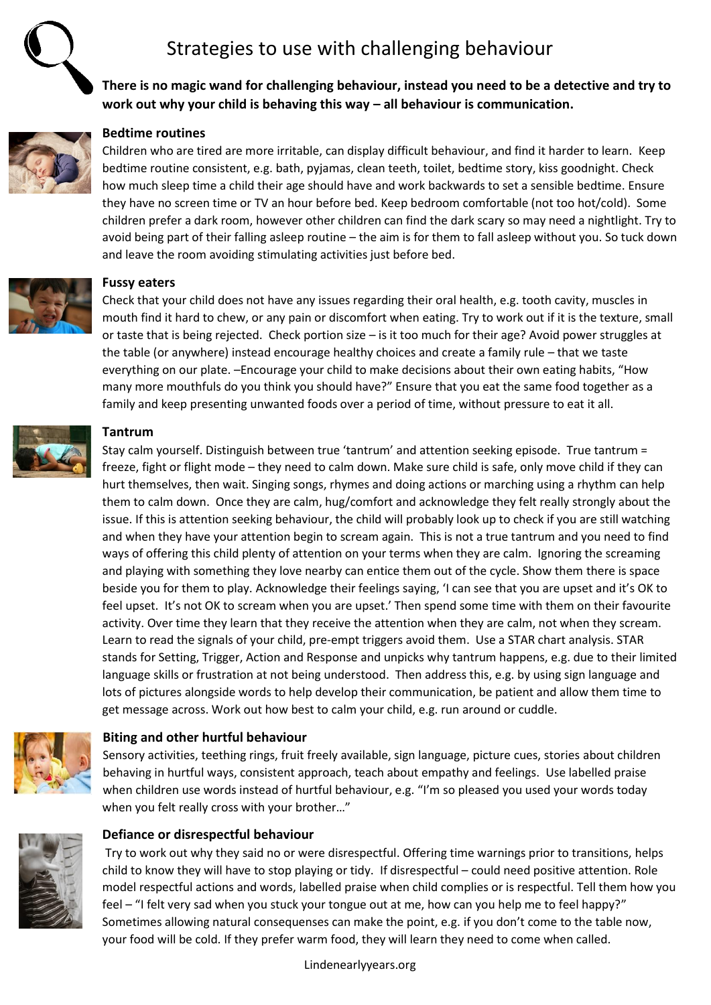# Strategies to use with challenging behaviour



**There is no magic wand for challenging behaviour, instead you need to be a detective and try to work out why your child is behaving this way – all behaviour is communication.** 



## **Bedtime routines**

Children who are tired are more irritable, can display difficult behaviour, and find it harder to learn. Keep bedtime routine consistent, e.g. bath, pyjamas, clean teeth, toilet, bedtime story, kiss goodnight. Check how much sleep time a child their age should have and work backwards to set a sensible bedtime. Ensure they have no screen time or TV an hour before bed. Keep bedroom comfortable (not too hot/cold). Some children prefer a dark room, however other children can find the dark scary so may need a nightlight. Try to avoid being part of their falling asleep routine – the aim is for them to fall asleep without you. So tuck down and leave the room avoiding stimulating activities just before bed.



#### **Fussy eaters**

Check that your child does not have any issues regarding their oral health, e.g. tooth cavity, muscles in mouth find it hard to chew, or any pain or discomfort when eating. Try to work out if it is the texture, small or taste that is being rejected. Check portion size – is it too much for their age? Avoid power struggles at the table (or anywhere) instead encourage healthy choices and create a family rule – that we taste everything on our plate. –Encourage your child to make decisions about their own eating habits, "How many more mouthfuls do you think you should have?" Ensure that you eat the same food together as a family and keep presenting unwanted foods over a period of time, without pressure to eat it all.



## **Tantrum**

Stay calm yourself. Distinguish between true 'tantrum' and attention seeking episode. True tantrum = freeze, fight or flight mode – they need to calm down. Make sure child is safe, only move child if they can hurt themselves, then wait. Singing songs, rhymes and doing actions or marching using a rhythm can help them to calm down. Once they are calm, hug/comfort and acknowledge they felt really strongly about the issue. If this is attention seeking behaviour, the child will probably look up to check if you are still watching and when they have your attention begin to scream again. This is not a true tantrum and you need to find ways of offering this child plenty of attention on your terms when they are calm. Ignoring the screaming and playing with something they love nearby can entice them out of the cycle. Show them there is space beside you for them to play. Acknowledge their feelings saying, 'I can see that you are upset and it's OK to feel upset. It's not OK to scream when you are upset.' Then spend some time with them on their favourite activity. Over time they learn that they receive the attention when they are calm, not when they scream. Learn to read the signals of your child, pre-empt triggers avoid them. Use a STAR chart analysis. STAR stands for Setting, Trigger, Action and Response and unpicks why tantrum happens, e.g. due to their limited language skills or frustration at not being understood. Then address this, e.g. by using sign language and lots of pictures alongside words to help develop their communication, be patient and allow them time to get message across. Work out how best to calm your child, e.g. run around or cuddle.



### **Biting and other hurtful behaviour**

Sensory activities, teething rings, fruit freely available, sign language, picture cues, stories about children behaving in hurtful ways, consistent approach, teach about empathy and feelings. Use labelled praise when children use words instead of hurtful behaviour, e.g. "I'm so pleased you used your words today when you felt really cross with your brother…"



### **Defiance or disrespectful behaviour**

Try to work out why they said no or were disrespectful. Offering time warnings prior to transitions, helps child to know they will have to stop playing or tidy. If disrespectful – could need positive attention. Role model respectful actions and words, labelled praise when child complies or is respectful. Tell them how you feel – "I felt very sad when you stuck your tongue out at me, how can you help me to feel happy?" Sometimes allowing natural consequenses can make the point, e.g. if you don't come to the table now, your food will be cold. If they prefer warm food, they will learn they need to come when called.